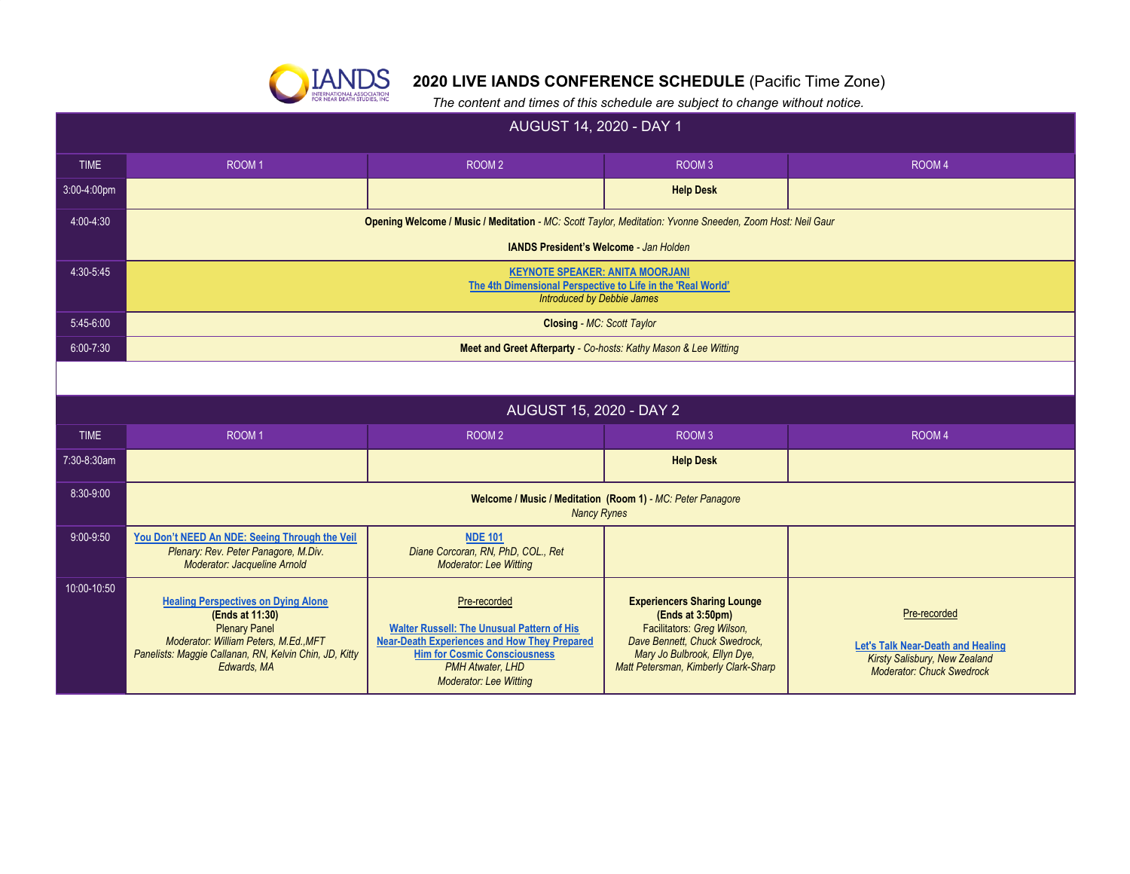

## **2020 LIVE IANDS CONFERENCE SCHEDULE** (Pacific Time Zone)

 *The content and times of this schedule are subject to change without notice.*

| AUGUST 14, 2020 - DAY 1 |                                                                                                                                                                                                         |                                                                                                                                                                                                                             |                                                                                                                                                                                               |                                                                                                                               |  |
|-------------------------|---------------------------------------------------------------------------------------------------------------------------------------------------------------------------------------------------------|-----------------------------------------------------------------------------------------------------------------------------------------------------------------------------------------------------------------------------|-----------------------------------------------------------------------------------------------------------------------------------------------------------------------------------------------|-------------------------------------------------------------------------------------------------------------------------------|--|
| <b>TIME</b>             | ROOM <sub>1</sub>                                                                                                                                                                                       | ROOM <sub>2</sub>                                                                                                                                                                                                           | ROOM <sub>3</sub>                                                                                                                                                                             | ROOM <sub>4</sub>                                                                                                             |  |
| 3:00-4:00pm             |                                                                                                                                                                                                         |                                                                                                                                                                                                                             | <b>Help Desk</b>                                                                                                                                                                              |                                                                                                                               |  |
| 4:00-4:30               | Opening Welcome / Music / Meditation - MC: Scott Taylor, Meditation: Yvonne Sneeden, Zoom Host: Neil Gaur                                                                                               |                                                                                                                                                                                                                             |                                                                                                                                                                                               |                                                                                                                               |  |
|                         | <b>IANDS President's Welcome - Jan Holden</b>                                                                                                                                                           |                                                                                                                                                                                                                             |                                                                                                                                                                                               |                                                                                                                               |  |
| 4:30-5:45               | <b>KEYNOTE SPEAKER: ANITA MOORJANI</b><br>The 4th Dimensional Perspective to Life in the 'Real World'<br><b>Introduced by Debbie James</b>                                                              |                                                                                                                                                                                                                             |                                                                                                                                                                                               |                                                                                                                               |  |
| 5:45-6:00               | <b>Closing - MC: Scott Taylor</b>                                                                                                                                                                       |                                                                                                                                                                                                                             |                                                                                                                                                                                               |                                                                                                                               |  |
| $6:00 - 7:30$           | Meet and Greet Afterparty - Co-hosts: Kathy Mason & Lee Witting                                                                                                                                         |                                                                                                                                                                                                                             |                                                                                                                                                                                               |                                                                                                                               |  |
|                         |                                                                                                                                                                                                         |                                                                                                                                                                                                                             |                                                                                                                                                                                               |                                                                                                                               |  |
|                         |                                                                                                                                                                                                         | AUGUST 15, 2020 - DAY 2                                                                                                                                                                                                     |                                                                                                                                                                                               |                                                                                                                               |  |
| <b>TIME</b>             | ROOM <sub>1</sub><br>ROOM <sub>2</sub><br>ROOM <sub>3</sub><br>ROOM <sub>4</sub>                                                                                                                        |                                                                                                                                                                                                                             |                                                                                                                                                                                               |                                                                                                                               |  |
| 7:30-8:30am             |                                                                                                                                                                                                         |                                                                                                                                                                                                                             | <b>Help Desk</b>                                                                                                                                                                              |                                                                                                                               |  |
| 8:30-9:00               | Welcome / Music / Meditation (Room 1) - MC: Peter Panagore<br><b>Nancy Rynes</b>                                                                                                                        |                                                                                                                                                                                                                             |                                                                                                                                                                                               |                                                                                                                               |  |
| 9:00-9:50               | You Don't NEED An NDE: Seeing Through the Veil<br>Plenary: Rev. Peter Panagore, M.Div.<br>Moderator: Jacqueline Arnold                                                                                  | <b>NDE 101</b><br>Diane Corcoran, RN, PhD, COL., Ret<br><b>Moderator: Lee Witting</b>                                                                                                                                       |                                                                                                                                                                                               |                                                                                                                               |  |
| 10:00-10:50             | <b>Healing Perspectives on Dying Alone</b><br>(Ends at 11:30)<br><b>Plenary Panel</b><br>Moderator: William Peters, M.Ed., MFT<br>Panelists: Maggie Callanan, RN, Kelvin Chin, JD, Kitty<br>Edwards, MA | Pre-recorded<br><b>Walter Russell: The Unusual Pattern of His</b><br><b>Near-Death Experiences and How They Prepared</b><br><b>Him for Cosmic Consciousness</b><br><b>PMH Atwater, LHD</b><br><b>Moderator: Lee Witting</b> | <b>Experiencers Sharing Lounge</b><br>(Ends at 3:50pm)<br>Facilitators: Greg Wilson,<br>Dave Bennett. Chuck Swedrock.<br>Mary Jo Bulbrook, Ellyn Dye,<br>Matt Petersman, Kimberly Clark-Sharp | Pre-recorded<br><b>Let's Talk Near-Death and Healing</b><br>Kirsty Salisbury, New Zealand<br><b>Moderator: Chuck Swedrock</b> |  |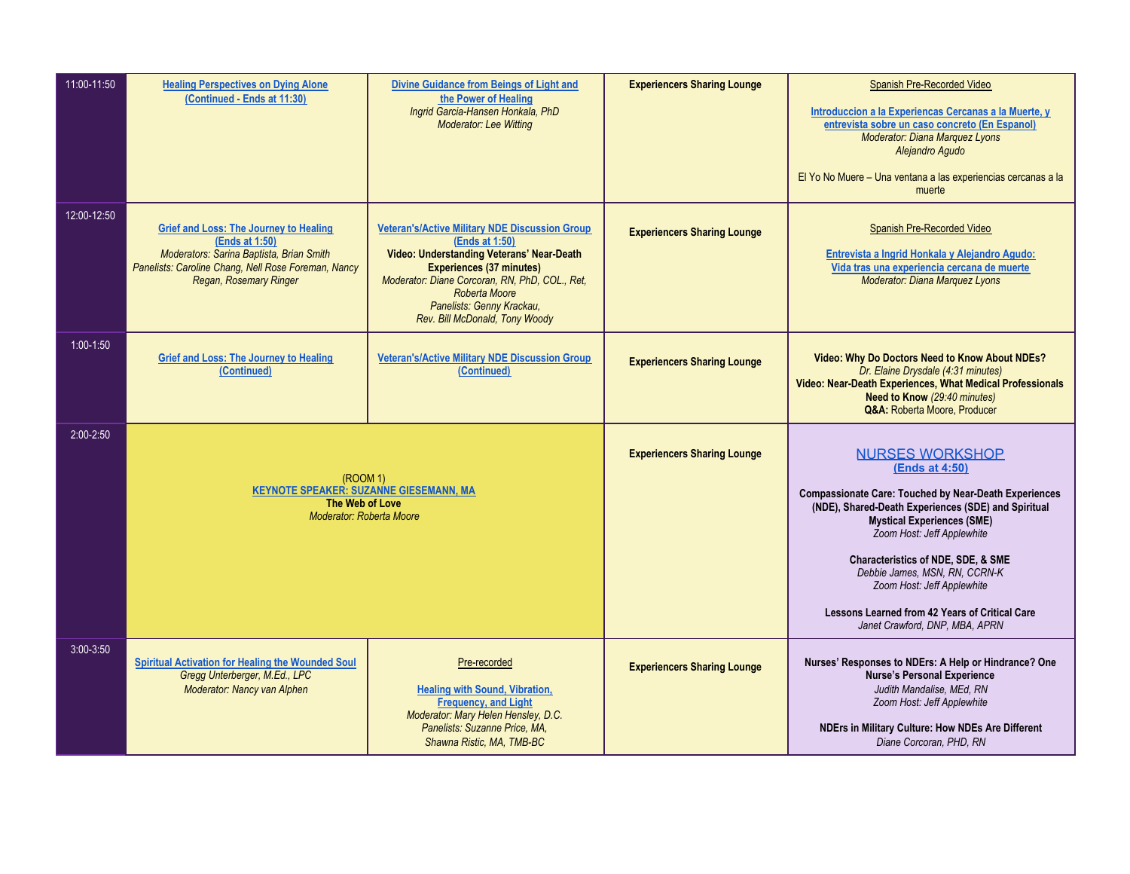| 11:00-11:50   | <b>Healing Perspectives on Dying Alone</b><br>(Continued - Ends at 11:30)                                                                                                                    | Divine Guidance from Beings of Light and<br>the Power of Healing<br>Ingrid Garcia-Hansen Honkala, PhD<br><b>Moderator: Lee Witting</b>                                                                                                                                                    | <b>Experiencers Sharing Lounge</b> | Spanish Pre-Recorded Video<br>Introduccion a la Experiencas Cercanas a la Muerte, y<br>entrevista sobre un caso concreto (En Espanol)<br>Moderator: Diana Marquez Lyons<br>Alejandro Agudo<br>El Yo No Muere - Una ventana a las experiencias cercanas a la<br>muerte                                                                                                                                                                  |
|---------------|----------------------------------------------------------------------------------------------------------------------------------------------------------------------------------------------|-------------------------------------------------------------------------------------------------------------------------------------------------------------------------------------------------------------------------------------------------------------------------------------------|------------------------------------|----------------------------------------------------------------------------------------------------------------------------------------------------------------------------------------------------------------------------------------------------------------------------------------------------------------------------------------------------------------------------------------------------------------------------------------|
| 12:00-12:50   | <b>Grief and Loss: The Journey to Healing</b><br>(Ends at 1:50)<br>Moderators: Sarina Baptista, Brian Smith<br>Panelists: Caroline Chang, Nell Rose Foreman, Nancy<br>Regan, Rosemary Ringer | <b>Veteran's/Active Military NDE Discussion Group</b><br>(Ends at 1:50)<br>Video: Understanding Veterans' Near-Death<br><b>Experiences (37 minutes)</b><br>Moderator: Diane Corcoran, RN, PhD, COL., Ret,<br>Roberta Moore<br>Panelists: Genny Krackau,<br>Rev. Bill McDonald, Tony Woody | <b>Experiencers Sharing Lounge</b> | Spanish Pre-Recorded Video<br>Entrevista a Ingrid Honkala y Alejandro Agudo:<br>Vida tras una experiencia cercana de muerte<br>Moderator: Diana Marquez Lyons                                                                                                                                                                                                                                                                          |
| $1:00 - 1:50$ | <b>Grief and Loss: The Journey to Healing</b><br>(Continued)                                                                                                                                 | <b>Veteran's/Active Military NDE Discussion Group</b><br>(Continued)                                                                                                                                                                                                                      | <b>Experiencers Sharing Lounge</b> | Video: Why Do Doctors Need to Know About NDEs?<br>Dr. Elaine Drysdale (4:31 minutes)<br>Video: Near-Death Experiences, What Medical Professionals<br><b>Need to Know</b> (29:40 minutes)<br>Q&A: Roberta Moore, Producer                                                                                                                                                                                                               |
| 2:00-2:50     | (ROOM 1)<br><b>KEYNOTE SPEAKER: SUZANNE GIESEMANN, MA</b><br>The Web of Love<br><b>Moderator: Roberta Moore</b>                                                                              |                                                                                                                                                                                                                                                                                           | <b>Experiencers Sharing Lounge</b> | <b>NURSES WORKSHOP</b><br>(Ends at 4:50)<br><b>Compassionate Care: Touched by Near-Death Experiences</b><br>(NDE), Shared-Death Experiences (SDE) and Spiritual<br><b>Mystical Experiences (SME)</b><br>Zoom Host: Jeff Applewhite<br><b>Characteristics of NDE, SDE, &amp; SME</b><br>Debbie James, MSN, RN, CCRN-K<br>Zoom Host: Jeff Applewhite<br>Lessons Learned from 42 Years of Critical Care<br>Janet Crawford, DNP, MBA, APRN |
| $3:00 - 3:50$ | <b>Spiritual Activation for Healing the Wounded Soul</b><br>Gregg Unterberger, M.Ed., LPC<br>Moderator: Nancy van Alphen                                                                     | Pre-recorded<br><b>Healing with Sound, Vibration,</b><br><b>Frequency, and Light</b><br>Moderator: Mary Helen Hensley, D.C.<br>Panelists: Suzanne Price, MA,<br>Shawna Ristic, MA, TMB-BC                                                                                                 | <b>Experiencers Sharing Lounge</b> | Nurses' Responses to NDErs: A Help or Hindrance? One<br><b>Nurse's Personal Experience</b><br>Judith Mandalise, MEd. RN<br>Zoom Host: Jeff Applewhite<br>NDErs in Military Culture: How NDEs Are Different<br>Diane Corcoran, PHD, RN                                                                                                                                                                                                  |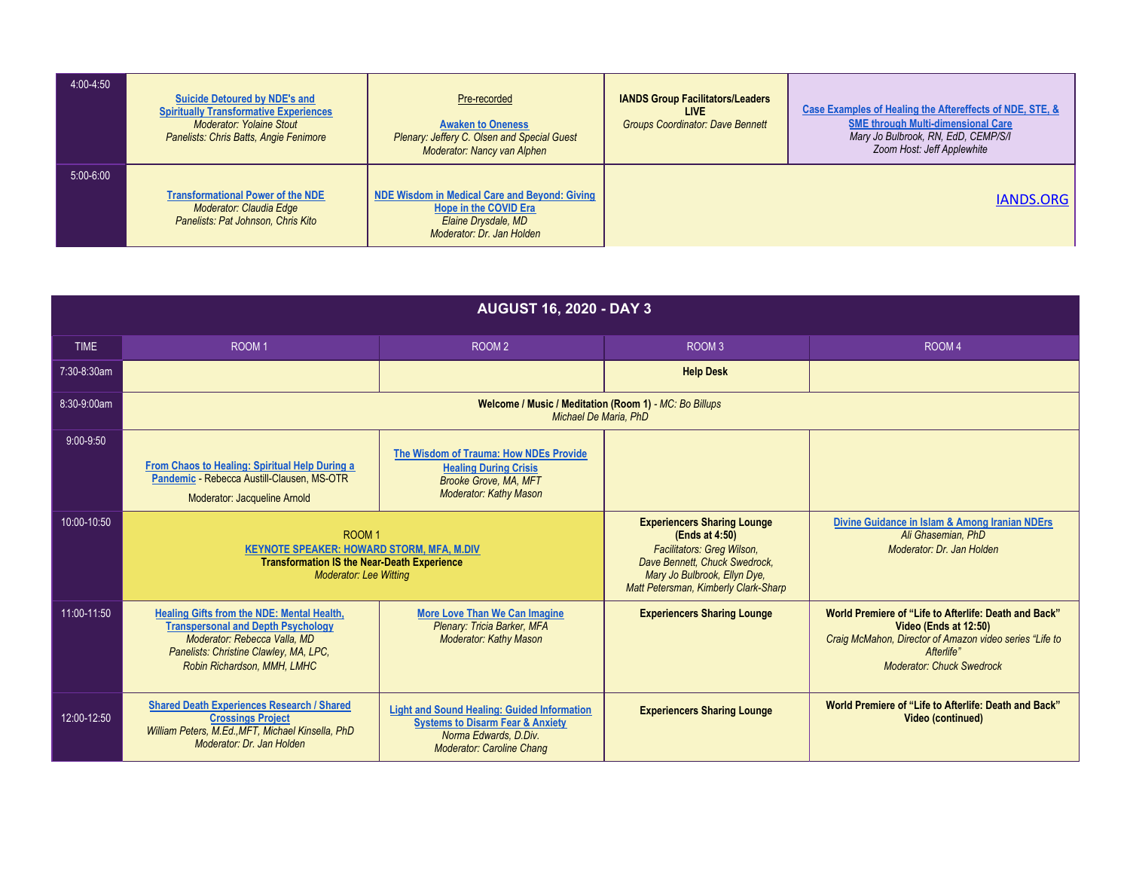| 4:00-4:50   | Suicide Detoured by NDE's and<br><b>Spiritually Transformative Experiences</b><br><b>Moderator: Yolaine Stout</b><br><b>Panelists: Chris Batts, Angie Fenimore</b> | Pre-recorded<br><b>Awaken to Oneness</b><br>Plenary: Jeffery C. Olsen and Special Guest<br>Moderator: Nancy van Alphen     | <b>IANDS Group Facilitators/Leaders</b><br>LIVE<br><b>Groups Coordinator: Dave Bennett</b> | Case Examples of Healing the Aftereffects of NDE, STE, &<br><b>SME through Multi-dimensional Care</b><br>Mary Jo Bulbrook, RN, EdD, CEMP/S/I<br>Zoom Host: Jeff Applewhite |
|-------------|--------------------------------------------------------------------------------------------------------------------------------------------------------------------|----------------------------------------------------------------------------------------------------------------------------|--------------------------------------------------------------------------------------------|----------------------------------------------------------------------------------------------------------------------------------------------------------------------------|
| $5:00-6:00$ | <b>Transformational Power of the NDE</b><br>Moderator: Claudia Edge<br>Panelists: Pat Johnson, Chris Kito                                                          | NDE Wisdom in Medical Care and Beyond: Giving<br>Hope in the COVID Era<br>Elaine Drysdale, MD<br>Moderator: Dr. Jan Holden |                                                                                            | IANDS.ORG                                                                                                                                                                  |

| <b>AUGUST 16, 2020 - DAY 3</b> |                                                                                                                                                                                                  |                                                                                                                                                                |                                                                                                                                                                                             |                                                                                                                                                                                             |
|--------------------------------|--------------------------------------------------------------------------------------------------------------------------------------------------------------------------------------------------|----------------------------------------------------------------------------------------------------------------------------------------------------------------|---------------------------------------------------------------------------------------------------------------------------------------------------------------------------------------------|---------------------------------------------------------------------------------------------------------------------------------------------------------------------------------------------|
| <b>TIME</b>                    | ROOM <sub>1</sub>                                                                                                                                                                                | ROOM <sub>2</sub>                                                                                                                                              | ROOM <sub>3</sub>                                                                                                                                                                           | ROOM <sub>4</sub>                                                                                                                                                                           |
| 7:30-8:30am                    |                                                                                                                                                                                                  |                                                                                                                                                                | <b>Help Desk</b>                                                                                                                                                                            |                                                                                                                                                                                             |
| 8:30-9:00am                    | Welcome / Music / Meditation (Room 1) - MC: Bo Billups<br><b>Michael De Maria, PhD</b>                                                                                                           |                                                                                                                                                                |                                                                                                                                                                                             |                                                                                                                                                                                             |
| $9:00-9:50$                    | From Chaos to Healing: Spiritual Help During a<br>Pandemic - Rebecca Austill-Clausen, MS-OTR<br>Moderator: Jacqueline Arnold                                                                     | The Wisdom of Trauma: How NDEs Provide<br><b>Healing During Crisis</b><br><b>Brooke Grove, MA, MFT</b><br><b>Moderator: Kathy Mason</b>                        |                                                                                                                                                                                             |                                                                                                                                                                                             |
| 10:00-10:50                    | ROOM <sub>1</sub><br><b>KEYNOTE SPEAKER: HOWARD STORM, MFA, M.DIV</b><br><b>Transformation IS the Near-Death Experience</b><br><b>Moderator: Lee Witting</b>                                     |                                                                                                                                                                | <b>Experiencers Sharing Lounge</b><br>(Ends at 4:50)<br>Facilitators: Greg Wilson,<br>Dave Bennett, Chuck Swedrock,<br>Mary Jo Bulbrook, Ellyn Dye,<br>Matt Petersman, Kimberly Clark-Sharp | Divine Guidance in Islam & Among Iranian NDErs<br>Ali Ghasemian, PhD<br>Moderator: Dr. Jan Holden                                                                                           |
| 11:00-11:50                    | Healing Gifts from the NDE: Mental Health,<br><b>Transpersonal and Depth Psychology</b><br>Moderator: Rebecca Valla, MD<br>Panelists: Christine Clawley, MA, LPC,<br>Robin Richardson, MMH, LMHC | <b>More Love Than We Can Imagine</b><br>Plenary: Tricia Barker, MFA<br><b>Moderator: Kathy Mason</b>                                                           | <b>Experiencers Sharing Lounge</b>                                                                                                                                                          | World Premiere of "Life to Afterlife: Death and Back"<br>Video (Ends at 12:50)<br>Craig McMahon, Director of Amazon video series "Life to<br>Afterlife"<br><b>Moderator: Chuck Swedrock</b> |
| 12:00-12:50                    | <b>Shared Death Experiences Research / Shared</b><br><b>Crossings Project</b><br>William Peters, M.Ed., MFT, Michael Kinsella, PhD<br>Moderator: Dr. Jan Holden                                  | <b>Light and Sound Healing: Guided Information</b><br><b>Systems to Disarm Fear &amp; Anxiety</b><br>Norma Edwards, D.Div.<br><b>Moderator: Caroline Chang</b> | <b>Experiencers Sharing Lounge</b>                                                                                                                                                          | World Premiere of "Life to Afterlife: Death and Back"<br><b>Video (continued)</b>                                                                                                           |